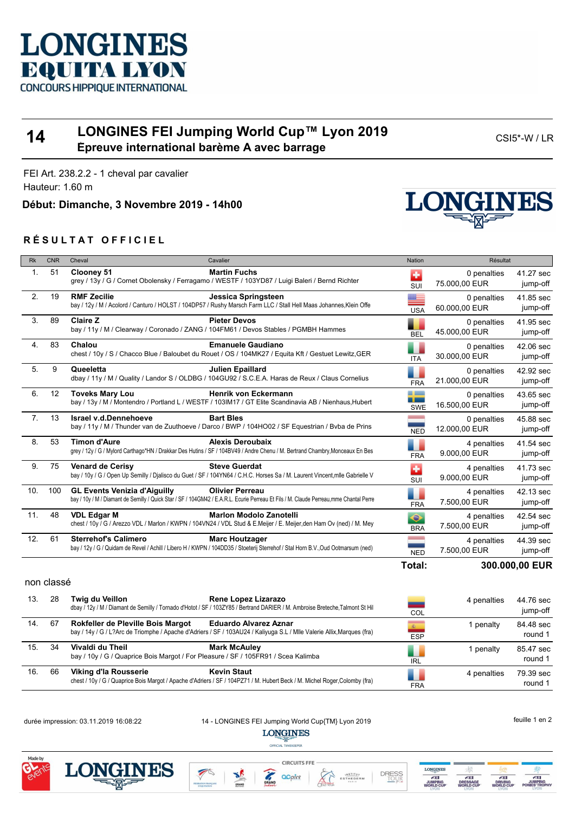

## **14 LONGINES FEI Jumping World Cup™ Lyon 2019 Épreuve international barème A avec barrage CSI5\*-W/LR**<br> **Épreuve international barème A avec barrage**

FEI Art. 238.2.2 - 1 cheval par cavalier Hauteur: 1.60 m

**Début: Dimanche, 3 Novembre 2019 - 14h00**

## **R É S U L T A T O F F I C I E L**



| <b>Rk</b>      | <b>CNR</b> | Cheval                              | Cavalier                                                                                                                                                         | <b>Nation</b>           | <b>Résultat</b>              |                       |  |
|----------------|------------|-------------------------------------|------------------------------------------------------------------------------------------------------------------------------------------------------------------|-------------------------|------------------------------|-----------------------|--|
| 1.             | 51         | Clooney 51                          | <b>Martin Fuchs</b><br>grey / 13y / G / Cornet Obolensky / Ferragamo / WESTF / 103YD87 / Luigi Baleri / Bernd Richter                                            | ÷<br>SUI                | 0 penalties<br>75.000,00 EUR | 41.27 sec<br>jump-off |  |
| 2.             | 19         | <b>RMF Zecilie</b>                  | Jessica Springsteen<br>bay / 12y / M / Acolord / Canturo / HOLST / 104DP57 / Rushy Marsch Farm LLC / Stall Hell Maas Johannes, Klein Offe                        | $\overline{USA}$        | 0 penalties<br>60.000,00 EUR | 41.85 sec<br>jump-off |  |
| 3.             | 89         | <b>Claire Z</b>                     | <b>Pieter Devos</b><br>bay / 11y / M / Clearway / Coronado / ZANG / 104FM61 / Devos Stables / PGMBH Hammes                                                       | <b>BEL</b>              | 0 penalties<br>45.000,00 EUR | 41.95 sec<br>jump-off |  |
| 4.             | 83         | Chalou                              | <b>Emanuele Gaudiano</b><br>chest / 10y / S / Chacco Blue / Baloubet du Rouet / OS / 104MK27 / Equita Kft / Gestuet Lewitz, GER                                  | <b>ITA</b>              | 0 penalties<br>30.000,00 EUR | 42.06 sec<br>jump-off |  |
| 5.             | 9          | Queeletta                           | Julien Epaillard<br>dbay / 11y / M / Quality / Landor S / OLDBG / 104GU92 / S.C.E.A. Haras de Reux / Claus Cornelius                                             | <b>FRA</b>              | 0 penalties<br>21.000,00 EUR | 42.92 sec<br>jump-off |  |
| 6.             | 12         | <b>Toveks Mary Lou</b>              | Henrik von Eckermann<br>bay / 13y / M / Montendro / Portland L / WESTF / 103IM17 / GT Elite Scandinavia AB / Nienhaus, Hubert                                    | --<br>- 1<br><b>SWE</b> | 0 penalties<br>16.500,00 EUR | 43.65 sec<br>jump-off |  |
| 7 <sub>1</sub> | 13         | <b>Israel v.d.Dennehoeve</b>        | <b>Bart Bles</b><br>bay / 11y / M / Thunder van de Zuuthoeve / Darco / BWP / 104HO02 / SF Equestrian / Byba de Prins                                             | <b>NED</b>              | 0 penalties<br>12.000,00 EUR | 45.88 sec<br>jump-off |  |
| 8.             | 53         | <b>Timon d'Aure</b>                 | <b>Alexis Deroubaix</b><br>grey / 12y / G / Mylord Carthago*HN / Drakkar Des Hutins / SF / 104BV49 / Andre Chenu / M. Bertrand Chambry, Monceaux En Bes          | <b>FRA</b>              | 4 penalties<br>9.000,00 EUR  | 41.54 sec<br>jump-off |  |
| 9.             | 75         | <b>Venard de Cerisy</b>             | <b>Steve Guerdat</b><br>bay / 10y / G / Open Up Semilly / Djalisco du Guet / SF / 104YN64 / C.H.C. Horses Sa / M. Laurent Vincent, mlle Gabrielle V              | ÷<br>SUI                | 4 penalties<br>9.000,00 EUR  | 41.73 sec<br>jump-off |  |
| 10.            | 100        | <b>GL Events Venizia d'Aiguilly</b> | <b>Olivier Perreau</b><br>bay / 10y / M / Diamant de Semilly / Quick Star / SF / 104GM42 / E.A.R.L. Ecurie Perreau Et Fils / M. Claude Perreau,mme Chantal Perre | <b>FRA</b>              | 4 penalties<br>7.500,00 EUR  | 42.13 sec<br>jump-off |  |
| 11.            | 48         | <b>VDL Edgar M</b>                  | <b>Marlon Modolo Zanotelli</b><br>chest / 10y / G / Arezzo VDL / Marlon / KWPN / 104VN24 / VDL Stud & E.Meijer / E. Meijer, den Ham Ov (ned) / M. Mey            | $\bullet$<br><b>BRA</b> | 4 penalties<br>7.500,00 EUR  | 42.54 sec<br>jump-off |  |
| 12.            | 61         | <b>Sterrehof's Calimero</b>         | <b>Marc Houtzager</b><br>bay / 12y / G / Quidam de Revel / Achill / Libero H / KWPN / 104DD35 / Stoeterij Sterrehof / Stal Horn B.V., Oud Ootmarsum (ned)        | <b>NED</b>              | 4 penalties<br>7.500,00 EUR  | 44.39 sec<br>jump-off |  |
|                |            |                                     |                                                                                                                                                                  | Total:                  | 300.000,00 EUR               |                       |  |

non classé

| 13. | 28  | Twig du Veillon                                                                                       | Rene Lopez Lizarazo<br>dbay / 12y / M / Diamant de Semilly / Tornado d'Hotot / SF / 103ZY85 / Bertrand DARIER / M. Ambroise Breteche, Talmont St Hil   | -<br>COL                                | 4 penalties | 44.76 sec<br>jump-off |
|-----|-----|-------------------------------------------------------------------------------------------------------|--------------------------------------------------------------------------------------------------------------------------------------------------------|-----------------------------------------|-------------|-----------------------|
| 14. | -67 | Rokfeller de Pleville Bois Margot                                                                     | <b>Eduardo Alvarez Aznar</b><br>bay / 14y / G / L?Arc de Triomphe / Apache d'Adriers / SF / 103AU24 / Kaliyuga S.L / Mlle Valerie Allix, Marques (fra) | $\mathbf{g}_{\mathrm{L}}$<br><b>ESP</b> | l penalty   | 84.48 sec<br>round 1  |
| 15. | 34  | Vivaldi du Theil<br>bay / 10y / G / Quaprice Bois Margot / For Pleasure / SF / 105FR91 / Scea Kalimba | <b>Mark McAuley</b>                                                                                                                                    | ш<br><b>IRL</b>                         | ∣ penaltv   | 85.47 sec<br>round 1  |
| 16. | 66  | Viking d'la Rousserie                                                                                 | <b>Kevin Staut</b><br>chest / 10y / G / Quaprice Bois Margot / Apache d'Adriers / SF / 104PZ71 / M. Hubert Beck / M. Michel Roger, Colomby (fra)       | ш<br><b>FRA</b>                         | 4 penalties | 79.39 sec<br>round 1  |

NI BS

durée impression: 03.11.2019 16:08:22 14 - LONGINES FEI Jumping World Cup{TM} Lyon 2019 **LONGINES** 

**CIRCUITS FFE** 

acpint

OFFICIAL TIMEKEEPER



LONGINE **DRESS**